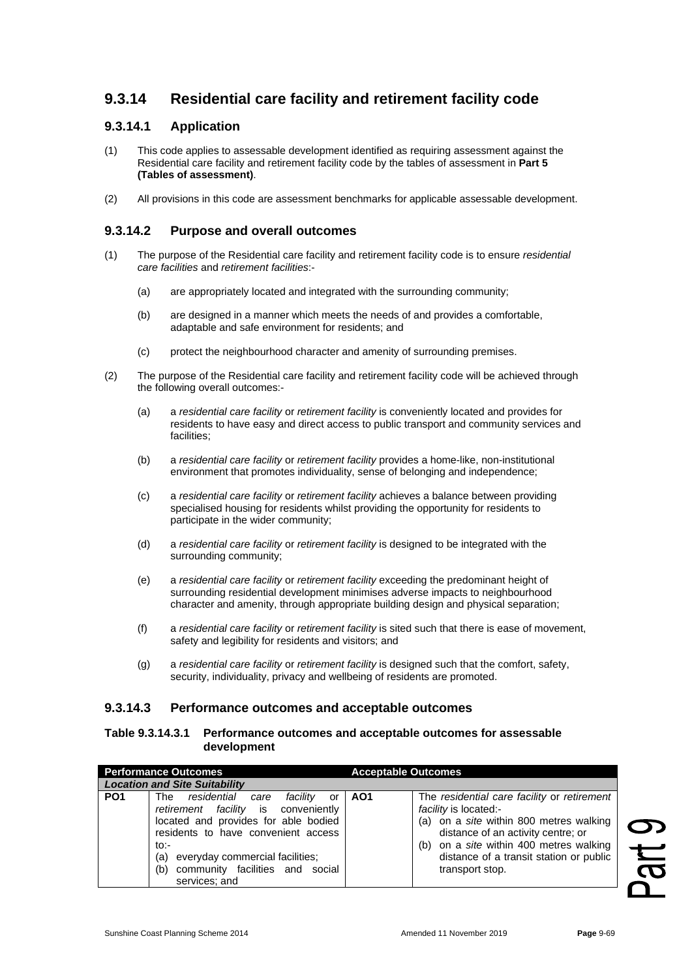# **9.3.14 Residential care facility and retirement facility code**

## **9.3.14.1 Application**

- (1) This code applies to assessable development identified as requiring assessment against the Residential care facility and retirement facility code by the tables of assessment in **Part 5 (Tables of assessment)**.
- (2) All provisions in this code are assessment benchmarks for applicable assessable development.

### **9.3.14.2 Purpose and overall outcomes**

- (1) The purpose of the Residential care facility and retirement facility code is to ensure *residential care facilities* and *retirement facilities*:-
	- (a) are appropriately located and integrated with the surrounding community;
	- (b) are designed in a manner which meets the needs of and provides a comfortable, adaptable and safe environment for residents; and
	- (c) protect the neighbourhood character and amenity of surrounding premises.
- (2) The purpose of the Residential care facility and retirement facility code will be achieved through the following overall outcomes:-
	- (a) a *residential care facility* or *retirement facility* is conveniently located and provides for residents to have easy and direct access to public transport and community services and facilities;
	- (b) a *residential care facility* or *retirement facility* provides a home-like, non-institutional environment that promotes individuality, sense of belonging and independence;
	- (c) a *residential care facility* or *retirement facility* achieves a balance between providing specialised housing for residents whilst providing the opportunity for residents to participate in the wider community;
	- (d) a *residential care facility* or *retirement facility* is designed to be integrated with the surrounding community;
	- (e) a *residential care facility* or *retirement facility* exceeding the predominant height of surrounding residential development minimises adverse impacts to neighbourhood character and amenity, through appropriate building design and physical separation;
	- (f) a *residential care facility* or *retirement facility* is sited such that there is ease of movement, safety and legibility for residents and visitors; and
	- (g) a *residential care facility* or *retirement facility* is designed such that the comfort, safety, security, individuality, privacy and wellbeing of residents are promoted.

#### **9.3.14.3 Performance outcomes and acceptable outcomes**

#### **Table 9.3.14.3.1 Performance outcomes and acceptable outcomes for assessable development**

| <b>Performance Outcomes</b> |                                                                                                                                                                                                                                                                     | <b>Acceptable Outcomes</b> |                                                                                                                                                                                                                                                                |
|-----------------------------|---------------------------------------------------------------------------------------------------------------------------------------------------------------------------------------------------------------------------------------------------------------------|----------------------------|----------------------------------------------------------------------------------------------------------------------------------------------------------------------------------------------------------------------------------------------------------------|
|                             | <b>Location and Site Suitability</b>                                                                                                                                                                                                                                |                            |                                                                                                                                                                                                                                                                |
| PO <sub>1</sub>             | The residential care facility<br>or<br>retirement facility is conveniently<br>located and provides for able bodied<br>residents to have convenient access<br>to:-<br>everyday commercial facilities;<br>(a)<br>(b) community facilities and social<br>services; and | AO <sub>1</sub>            | The residential care facility or retirement<br>facility is located:-<br>(a) on a site within 800 metres walking<br>distance of an activity centre; or<br>(b) on a site within 400 metres walking<br>distance of a transit station or public<br>transport stop. |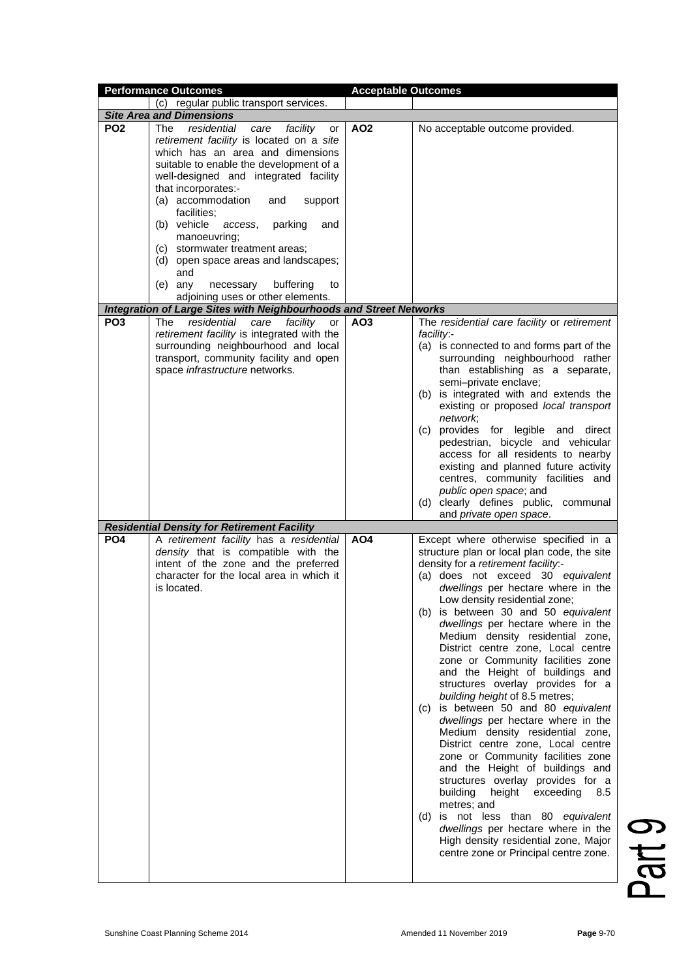| <b>Performance Outcomes</b> |                                                                                                                                                                                                                                                                                                                                                                                                                                                                                                                               | <b>Acceptable Outcomes</b> |                                                                                                                                                                                                                                                                                                                                                                                                                                                                                                                                                                                                                                                                                                                                                                                                                                                                                                                                                                                                                                   |
|-----------------------------|-------------------------------------------------------------------------------------------------------------------------------------------------------------------------------------------------------------------------------------------------------------------------------------------------------------------------------------------------------------------------------------------------------------------------------------------------------------------------------------------------------------------------------|----------------------------|-----------------------------------------------------------------------------------------------------------------------------------------------------------------------------------------------------------------------------------------------------------------------------------------------------------------------------------------------------------------------------------------------------------------------------------------------------------------------------------------------------------------------------------------------------------------------------------------------------------------------------------------------------------------------------------------------------------------------------------------------------------------------------------------------------------------------------------------------------------------------------------------------------------------------------------------------------------------------------------------------------------------------------------|
|                             | (c) regular public transport services.                                                                                                                                                                                                                                                                                                                                                                                                                                                                                        |                            |                                                                                                                                                                                                                                                                                                                                                                                                                                                                                                                                                                                                                                                                                                                                                                                                                                                                                                                                                                                                                                   |
|                             | <b>Site Area and Dimensions</b>                                                                                                                                                                                                                                                                                                                                                                                                                                                                                               |                            |                                                                                                                                                                                                                                                                                                                                                                                                                                                                                                                                                                                                                                                                                                                                                                                                                                                                                                                                                                                                                                   |
| PO <sub>2</sub>             | residential<br>The<br>care<br>facility<br>or<br>retirement facility is located on a site<br>which has an area and dimensions<br>suitable to enable the development of a<br>well-designed and integrated facility<br>that incorporates:-<br>(a) accommodation<br>and<br>support<br>facilities:<br>(b) vehicle<br>parking<br>access,<br>and<br>manoeuvring;<br>(c) stormwater treatment areas;<br>(d) open space areas and landscapes;<br>and<br>$(e)$ any<br>necessary<br>buffering<br>to<br>adjoining uses or other elements. | AO <sub>2</sub>            | No acceptable outcome provided.                                                                                                                                                                                                                                                                                                                                                                                                                                                                                                                                                                                                                                                                                                                                                                                                                                                                                                                                                                                                   |
|                             | <b>Integration of Large Sites with Neighbourhoods and Street Networks</b>                                                                                                                                                                                                                                                                                                                                                                                                                                                     |                            |                                                                                                                                                                                                                                                                                                                                                                                                                                                                                                                                                                                                                                                                                                                                                                                                                                                                                                                                                                                                                                   |
| PO <sub>3</sub>             | residential<br>facility<br>The<br>care<br>or<br>retirement facility is integrated with the<br>surrounding neighbourhood and local<br>transport, community facility and open<br>space infrastructure networks.                                                                                                                                                                                                                                                                                                                 | AO3                        | The residential care facility or retirement<br>facility:-<br>(a) is connected to and forms part of the<br>surrounding neighbourhood rather<br>than establishing as a separate,<br>semi-private enclave;<br>(b) is integrated with and extends the<br>existing or proposed local transport<br>network;<br>provides for legible and<br>(c)<br>direct<br>pedestrian, bicycle and vehicular<br>access for all residents to nearby<br>existing and planned future activity<br>centres, community facilities and<br>public open space; and<br>(d) clearly defines public, communal<br>and <i>private</i> open space.                                                                                                                                                                                                                                                                                                                                                                                                                    |
|                             | <b>Residential Density for Retirement Facility</b>                                                                                                                                                                                                                                                                                                                                                                                                                                                                            |                            |                                                                                                                                                                                                                                                                                                                                                                                                                                                                                                                                                                                                                                                                                                                                                                                                                                                                                                                                                                                                                                   |
| PO <sub>4</sub>             | A retirement facility has a residential<br>density that is compatible with the<br>intent of the zone and the preferred<br>character for the local area in which it<br>is located.                                                                                                                                                                                                                                                                                                                                             | AO <sub>4</sub>            | Except where otherwise specified in a<br>structure plan or local plan code, the site<br>density for a retirement facility:-<br>(a) does not exceed 30 equivalent<br>dwellings per hectare where in the<br>Low density residential zone;<br>(b) is between 30 and 50 equivalent<br>dwellings per hectare where in the<br>Medium density residential zone,<br>District centre zone, Local centre<br>zone or Community facilities zone<br>and the Height of buildings and<br>structures overlay provides for a<br>building height of 8.5 metres;<br>(c) is between 50 and 80 equivalent<br>dwellings per hectare where in the<br>Medium density residential zone,<br>District centre zone, Local centre<br>zone or Community facilities zone<br>and the Height of buildings and<br>structures overlay provides for a<br>building height exceeding<br>8.5<br>metres; and<br>(d) is not less than 80 equivalent<br>dwellings per hectare where in the<br>High density residential zone, Major<br>centre zone or Principal centre zone. |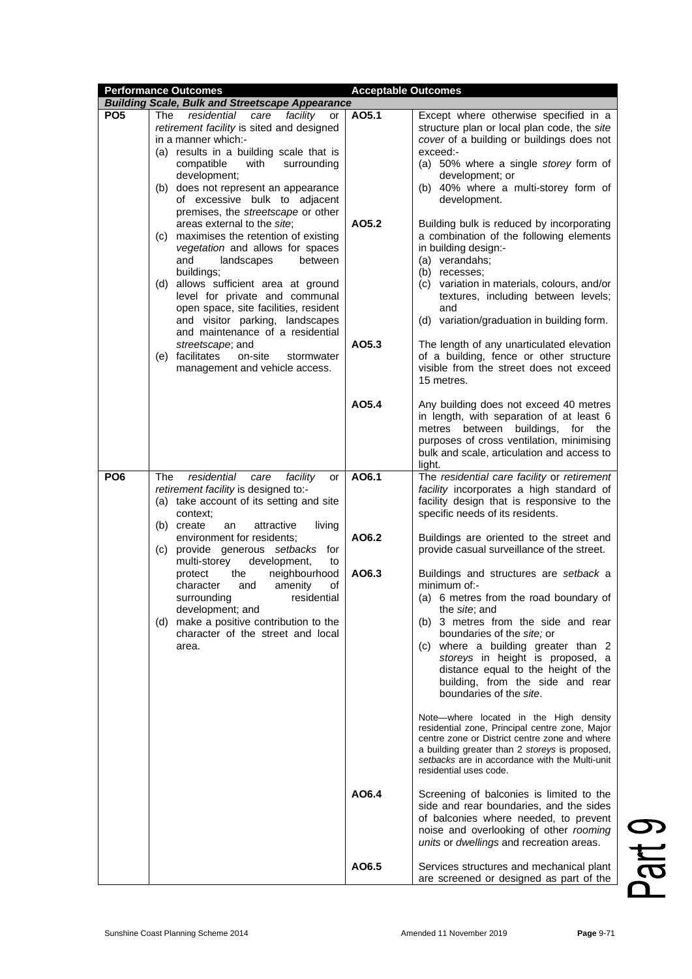|                 | <b>Performance Outcomes</b>                                                                                                                                                                                                                                                                                                                                                              | <b>Acceptable Outcomes</b> |                                                                                                                                                                                                                                                                                                                               |
|-----------------|------------------------------------------------------------------------------------------------------------------------------------------------------------------------------------------------------------------------------------------------------------------------------------------------------------------------------------------------------------------------------------------|----------------------------|-------------------------------------------------------------------------------------------------------------------------------------------------------------------------------------------------------------------------------------------------------------------------------------------------------------------------------|
|                 | <b>Building Scale, Bulk and Streetscape Appearance</b>                                                                                                                                                                                                                                                                                                                                   |                            |                                                                                                                                                                                                                                                                                                                               |
| PO <sub>5</sub> | residential<br>The<br>facility<br>care<br>or<br>retirement facility is sited and designed<br>in a manner which:-<br>(a) results in a building scale that is<br>with<br>surrounding<br>compatible<br>development;<br>(b) does not represent an appearance<br>of excessive bulk to adjacent                                                                                                | AO5.1                      | Except where otherwise specified in a<br>structure plan or local plan code, the site<br>cover of a building or buildings does not<br>exceed:-<br>(a) 50% where a single storey form of<br>development; or<br>(b) 40% where a multi-storey form of<br>development.                                                             |
|                 | premises, the streetscape or other<br>areas external to the site;<br>(c) maximises the retention of existing<br>vegetation and allows for spaces<br>and<br>landscapes<br>between<br>buildings;<br>(d) allows sufficient area at ground<br>level for private and communal<br>open space, site facilities, resident<br>and visitor parking, landscapes<br>and maintenance of a residential | AO5.2                      | Building bulk is reduced by incorporating<br>a combination of the following elements<br>in building design:-<br>(a) verandahs;<br>(b) recesses;<br>(c) variation in materials, colours, and/or<br>textures, including between levels;<br>and<br>(d) variation/graduation in building form.                                    |
|                 | streetscape; and<br>(e) facilitates<br>on-site<br>stormwater<br>management and vehicle access.                                                                                                                                                                                                                                                                                           | AO5.3                      | The length of any unarticulated elevation<br>of a building, fence or other structure<br>visible from the street does not exceed<br>15 metres.                                                                                                                                                                                 |
|                 |                                                                                                                                                                                                                                                                                                                                                                                          | AO5.4                      | Any building does not exceed 40 metres<br>in length, with separation of at least 6<br>metres between buildings,<br>for the<br>purposes of cross ventilation, minimising<br>bulk and scale, articulation and access to<br>light.                                                                                               |
| PO <sub>6</sub> | residential<br>The<br>care<br>facility<br>or<br>retirement facility is designed to:-<br>(a) take account of its setting and site<br>context;<br>attractive<br>living<br>(b) create<br>an                                                                                                                                                                                                 | AO6.1                      | The residential care facility or retirement<br>facility incorporates a high standard of<br>facility design that is responsive to the<br>specific needs of its residents.                                                                                                                                                      |
|                 | environment for residents;<br>(c) provide generous setbacks<br>for<br>multi-storey<br>development,<br>to<br>the<br>neighbourhood<br>protect                                                                                                                                                                                                                                              | AO6.2<br>AO6.3             | Buildings are oriented to the street and<br>provide casual surveillance of the street.<br>Buildings and structures are setback a                                                                                                                                                                                              |
|                 | amenity<br>character<br>and<br>οf<br>residential<br>surrounding<br>development; and<br>(d) make a positive contribution to the<br>character of the street and local<br>area.                                                                                                                                                                                                             |                            | minimum of:-<br>(a) 6 metres from the road boundary of<br>the site; and<br>(b) 3 metres from the side and rear<br>boundaries of the site; or<br>(c) where a building greater than 2<br>storeys in height is proposed, a<br>distance equal to the height of the<br>building, from the side and rear<br>boundaries of the site. |
|                 |                                                                                                                                                                                                                                                                                                                                                                                          |                            | Note-where located in the High density<br>residential zone, Principal centre zone, Major<br>centre zone or District centre zone and where<br>a building greater than 2 storeys is proposed,<br>setbacks are in accordance with the Multi-unit<br>residential uses code.                                                       |
|                 |                                                                                                                                                                                                                                                                                                                                                                                          | AO6.4                      | Screening of balconies is limited to the<br>side and rear boundaries, and the sides<br>of balconies where needed, to prevent<br>noise and overlooking of other rooming<br>units or dwellings and recreation areas.                                                                                                            |
|                 |                                                                                                                                                                                                                                                                                                                                                                                          | AO6.5                      | Services structures and mechanical plant<br>are screened or designed as part of the                                                                                                                                                                                                                                           |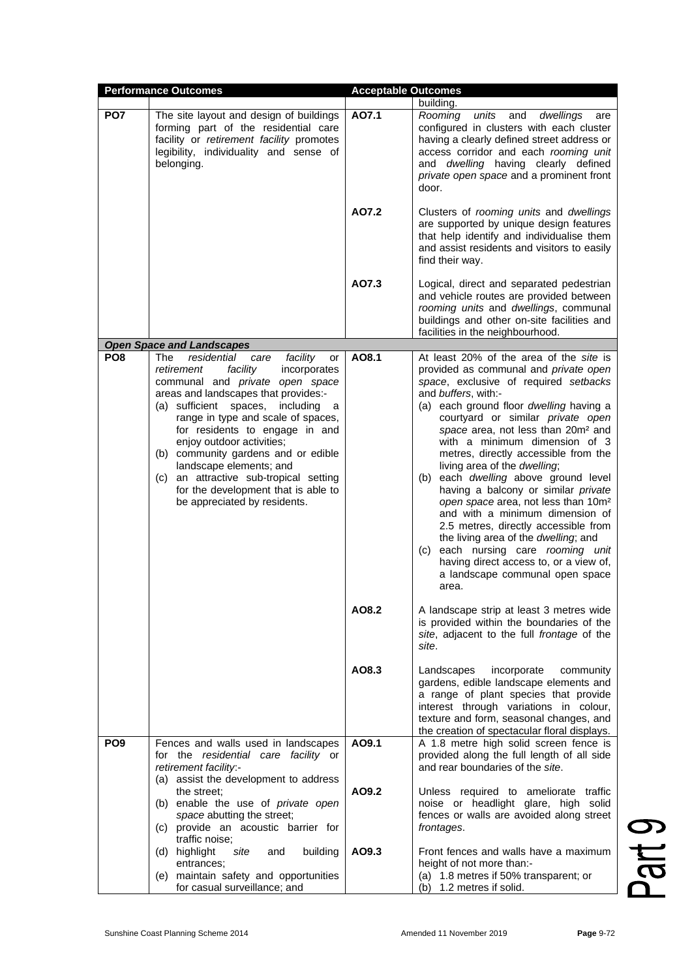| <b>Performance Outcomes</b> |                                                                                                                                                                                                                                                                                                                                                                                                                                                                                                    | <b>Acceptable Outcomes</b> |                                                                                                                                                                                                                                                                                                                                                                                                                                                                                                                                                                                                                                                                                                                                                                                        |
|-----------------------------|----------------------------------------------------------------------------------------------------------------------------------------------------------------------------------------------------------------------------------------------------------------------------------------------------------------------------------------------------------------------------------------------------------------------------------------------------------------------------------------------------|----------------------------|----------------------------------------------------------------------------------------------------------------------------------------------------------------------------------------------------------------------------------------------------------------------------------------------------------------------------------------------------------------------------------------------------------------------------------------------------------------------------------------------------------------------------------------------------------------------------------------------------------------------------------------------------------------------------------------------------------------------------------------------------------------------------------------|
|                             |                                                                                                                                                                                                                                                                                                                                                                                                                                                                                                    |                            | building.                                                                                                                                                                                                                                                                                                                                                                                                                                                                                                                                                                                                                                                                                                                                                                              |
| PO <sub>7</sub>             | The site layout and design of buildings<br>forming part of the residential care<br>facility or retirement facility promotes<br>legibility, individuality and sense of<br>belonging.                                                                                                                                                                                                                                                                                                                | AO7.1                      | Rooming<br>units<br>and dwellings<br>are<br>configured in clusters with each cluster<br>having a clearly defined street address or<br>access corridor and each rooming unit<br>and dwelling having clearly defined<br>private open space and a prominent front<br>door.                                                                                                                                                                                                                                                                                                                                                                                                                                                                                                                |
|                             |                                                                                                                                                                                                                                                                                                                                                                                                                                                                                                    | A07.2                      | Clusters of rooming units and dwellings<br>are supported by unique design features<br>that help identify and individualise them<br>and assist residents and visitors to easily<br>find their way.                                                                                                                                                                                                                                                                                                                                                                                                                                                                                                                                                                                      |
|                             |                                                                                                                                                                                                                                                                                                                                                                                                                                                                                                    | AO7.3                      | Logical, direct and separated pedestrian<br>and vehicle routes are provided between<br>rooming units and dwellings, communal<br>buildings and other on-site facilities and<br>facilities in the neighbourhood.                                                                                                                                                                                                                                                                                                                                                                                                                                                                                                                                                                         |
|                             | <b>Open Space and Landscapes</b>                                                                                                                                                                                                                                                                                                                                                                                                                                                                   |                            |                                                                                                                                                                                                                                                                                                                                                                                                                                                                                                                                                                                                                                                                                                                                                                                        |
| PO <sub>8</sub>             | residential<br>facility<br>The<br>care<br>or<br>facility<br>incorporates<br>retirement<br>communal and private open space<br>areas and landscapes that provides:-<br>(a) sufficient spaces, including<br>a<br>range in type and scale of spaces,<br>for residents to engage in and<br>enjoy outdoor activities;<br>(b) community gardens and or edible<br>landscape elements; and<br>(c) an attractive sub-tropical setting<br>for the development that is able to<br>be appreciated by residents. | AO8.1                      | At least 20% of the area of the site is<br>provided as communal and <i>private</i> open<br>space, exclusive of required setbacks<br>and buffers, with:-<br>(a) each ground floor dwelling having a<br>courtyard or similar private open<br>space area, not less than 20m <sup>2</sup> and<br>with a minimum dimension of 3<br>metres, directly accessible from the<br>living area of the dwelling;<br>(b) each dwelling above ground level<br>having a balcony or similar private<br>open space area, not less than 10m <sup>2</sup><br>and with a minimum dimension of<br>2.5 metres, directly accessible from<br>the living area of the dwelling; and<br>each nursing care rooming unit<br>(c)<br>having direct access to, or a view of,<br>a landscape communal open space<br>area. |
|                             |                                                                                                                                                                                                                                                                                                                                                                                                                                                                                                    | AO8.2                      | A landscape strip at least 3 metres wide<br>is provided within the boundaries of the<br>site, adjacent to the full frontage of the<br>site.                                                                                                                                                                                                                                                                                                                                                                                                                                                                                                                                                                                                                                            |
|                             |                                                                                                                                                                                                                                                                                                                                                                                                                                                                                                    | AO8.3                      | Landscapes<br>incorporate<br>community<br>gardens, edible landscape elements and<br>a range of plant species that provide<br>interest through variations in colour,<br>texture and form, seasonal changes, and<br>the creation of spectacular floral displays.                                                                                                                                                                                                                                                                                                                                                                                                                                                                                                                         |
| PO <sub>9</sub>             | Fences and walls used in landscapes<br>for the residential care facility or<br>retirement facility:-<br>(a) assist the development to address                                                                                                                                                                                                                                                                                                                                                      | AO9.1                      | A 1.8 metre high solid screen fence is<br>provided along the full length of all side<br>and rear boundaries of the site.                                                                                                                                                                                                                                                                                                                                                                                                                                                                                                                                                                                                                                                               |
|                             | the street:<br>(b) enable the use of private open<br>space abutting the street;<br>(c) provide an acoustic barrier for<br>traffic noise:                                                                                                                                                                                                                                                                                                                                                           | AO9.2                      | Unless required to ameliorate traffic<br>noise or headlight glare, high solid<br>fences or walls are avoided along street<br>frontages.                                                                                                                                                                                                                                                                                                                                                                                                                                                                                                                                                                                                                                                |
|                             | building<br>(d) highlight<br>site<br>and<br>entrances;<br>(e) maintain safety and opportunities<br>for casual surveillance; and                                                                                                                                                                                                                                                                                                                                                                    | AO9.3                      | Front fences and walls have a maximum<br>height of not more than:-<br>(a) 1.8 metres if 50% transparent; or<br>(b) 1.2 metres if solid.                                                                                                                                                                                                                                                                                                                                                                                                                                                                                                                                                                                                                                                |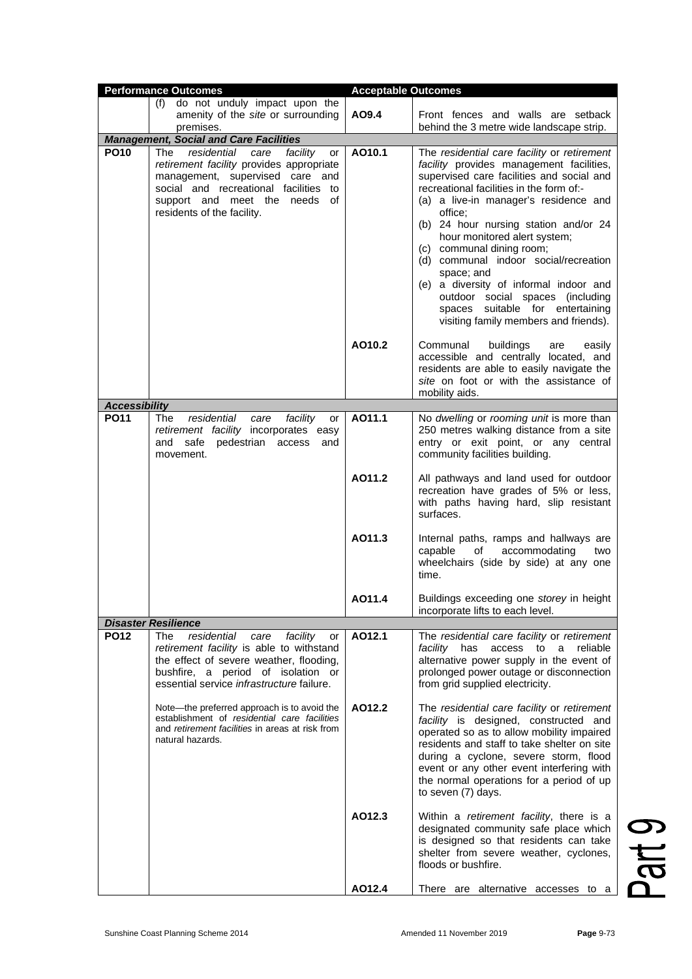| <b>Performance Outcomes</b> |                                                                                                                                                                                                                                           | <b>Acceptable Outcomes</b> |                                                                                                                                                                                                                                                                                                                                                                                                                                                                                                                                                                 |
|-----------------------------|-------------------------------------------------------------------------------------------------------------------------------------------------------------------------------------------------------------------------------------------|----------------------------|-----------------------------------------------------------------------------------------------------------------------------------------------------------------------------------------------------------------------------------------------------------------------------------------------------------------------------------------------------------------------------------------------------------------------------------------------------------------------------------------------------------------------------------------------------------------|
|                             | do not unduly impact upon the<br>(f)                                                                                                                                                                                                      |                            |                                                                                                                                                                                                                                                                                                                                                                                                                                                                                                                                                                 |
|                             | amenity of the site or surrounding                                                                                                                                                                                                        | AO9.4                      | Front fences and walls are setback                                                                                                                                                                                                                                                                                                                                                                                                                                                                                                                              |
|                             | premises.                                                                                                                                                                                                                                 |                            | behind the 3 metre wide landscape strip.                                                                                                                                                                                                                                                                                                                                                                                                                                                                                                                        |
|                             | <b>Management, Social and Care Facilities</b>                                                                                                                                                                                             |                            |                                                                                                                                                                                                                                                                                                                                                                                                                                                                                                                                                                 |
| <b>PO10</b>                 | residential<br>The<br>care<br>facility<br>or<br>retirement facility provides appropriate<br>management, supervised care and<br>social and recreational facilities to<br>of<br>needs<br>support and meet the<br>residents of the facility. | AO10.1                     | The residential care facility or retirement<br>facility provides management facilities,<br>supervised care facilities and social and<br>recreational facilities in the form of:-<br>(a) a live-in manager's residence and<br>office;<br>(b) 24 hour nursing station and/or 24<br>hour monitored alert system;<br>(c) communal dining room;<br>(d) communal indoor social/recreation<br>space; and<br>(e) a diversity of informal indoor and<br>outdoor social spaces (including<br>suitable for entertaining<br>spaces<br>visiting family members and friends). |
|                             |                                                                                                                                                                                                                                           | AO10.2                     | Communal<br>buildings<br>are<br>easily<br>accessible and centrally located, and<br>residents are able to easily navigate the<br>site on foot or with the assistance of<br>mobility aids.                                                                                                                                                                                                                                                                                                                                                                        |
| <b>Accessibility</b>        |                                                                                                                                                                                                                                           |                            |                                                                                                                                                                                                                                                                                                                                                                                                                                                                                                                                                                 |
| <b>PO11</b>                 | residential<br>facility<br>The<br>care<br>or<br>retirement facility incorporates easy<br>safe pedestrian access<br>and<br>and<br>movement.                                                                                                | AO11.1                     | No dwelling or rooming unit is more than<br>250 metres walking distance from a site<br>entry or exit point, or any central<br>community facilities building.                                                                                                                                                                                                                                                                                                                                                                                                    |
|                             |                                                                                                                                                                                                                                           | AO11.2                     | All pathways and land used for outdoor<br>recreation have grades of 5% or less,<br>with paths having hard, slip resistant<br>surfaces.                                                                                                                                                                                                                                                                                                                                                                                                                          |
|                             |                                                                                                                                                                                                                                           | AO11.3                     | Internal paths, ramps and hallways are<br>capable<br>of<br>accommodating<br>two<br>wheelchairs (side by side) at any one<br>time.                                                                                                                                                                                                                                                                                                                                                                                                                               |
|                             |                                                                                                                                                                                                                                           | AO11.4                     | Buildings exceeding one storey in height<br>incorporate lifts to each level.                                                                                                                                                                                                                                                                                                                                                                                                                                                                                    |
|                             | <b>Disaster Resilience</b>                                                                                                                                                                                                                |                            |                                                                                                                                                                                                                                                                                                                                                                                                                                                                                                                                                                 |
| <b>PO12</b>                 | residential<br>The<br>care<br>facility<br>or<br>retirement facility is able to withstand<br>the effect of severe weather, flooding,<br>bushfire, a period of isolation or<br>essential service infrastructure failure.                    | AO12.1                     | The residential care facility or retirement<br>facility<br>has<br>reliable<br>access to<br>a<br>alternative power supply in the event of<br>prolonged power outage or disconnection<br>from grid supplied electricity.                                                                                                                                                                                                                                                                                                                                          |
|                             | Note—the preferred approach is to avoid the<br>establishment of residential care facilities<br>and <i>retirement facilities</i> in areas at risk from<br>natural hazards.                                                                 | AO12.2                     | The residential care facility or retirement<br>facility is designed, constructed and<br>operated so as to allow mobility impaired<br>residents and staff to take shelter on site<br>during a cyclone, severe storm, flood<br>event or any other event interfering with<br>the normal operations for a period of up<br>to seven (7) days.                                                                                                                                                                                                                        |
|                             |                                                                                                                                                                                                                                           | AO12.3                     | Within a retirement facility, there is a<br>designated community safe place which<br>is designed so that residents can take<br>shelter from severe weather, cyclones,<br>floods or bushfire.                                                                                                                                                                                                                                                                                                                                                                    |
|                             |                                                                                                                                                                                                                                           | AO12.4                     | There are alternative accesses to a                                                                                                                                                                                                                                                                                                                                                                                                                                                                                                                             |